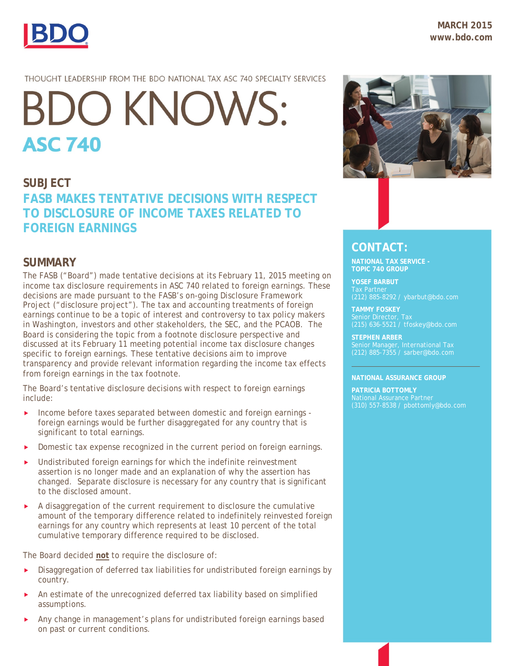

## THOUGHT LEADERSHIP FROM THE BDO NATIONAL TAX ASC 740 SPECIALTY SERVICES

# **BDO KNOWS: ASC 740**

# **SUBJECT FASB MAKES TENTATIVE DECISIONS WITH RESPECT TO DISCLOSURE OF INCOME TAXES RELATED TO FOREIGN EARNINGS**

# **SUMMARY**

The FASB ("Board") made tentative decisions at its February 11, 2015 meeting on income tax disclosure requirements in ASC 740 related to foreign earnings. These decisions are made pursuant to the FASB's on-going Disclosure Framework Project ("disclosure project"). The tax and accounting treatments of foreign earnings continue to be a topic of interest and controversy to tax policy makers in Washington, investors and other stakeholders, the SEC, and the PCAOB. The Board is considering the topic from a footnote disclosure perspective and discussed at its February 11 meeting potential income tax disclosure changes specific to foreign earnings. These tentative decisions aim to improve transparency and provide relevant information regarding the income tax effects from foreign earnings in the tax footnote.

The Board's tentative disclosure decisions with respect to foreign earnings include:

- Income before taxes separated between domestic and foreign earnings foreign earnings would be further disaggregated for any country that is significant to total earnings.
- Domestic tax expense recognized in the current period on foreign earnings.
- Undistributed foreign earnings for which the indefinite reinvestment assertion is no longer made and an explanation of why the assertion has changed. Separate disclosure is necessary for any country that is significant to the disclosed amount.
- $\blacktriangleright$  A disaggregation of the current requirement to disclosure the cumulative amount of the temporary difference related to indefinitely reinvested foreign earnings for any country which represents at least 10 percent of the total cumulative temporary difference required to be disclosed.

The Board decided **not** to require the disclosure of:

- **Disaggregation of deferred tax liabilities for undistributed foreign earnings by** country.
- An estimate of the unrecognized deferred tax liability based on simplified assumptions.
- Any change in management's plans for undistributed foreign earnings based on past or current conditions.



# **CONTACT:**

**NATIONAL TAX SERVICE - TOPIC 740 GROUP**

**YOSEF BARBUT**

**TAMMY FOSKEY** Senior Director, Tax

**STEPHEN ARBER** 

#### **NATIONAL ASSURANCE GROUP**

**PATRICIA BOTTOMLY** National Assurance Partner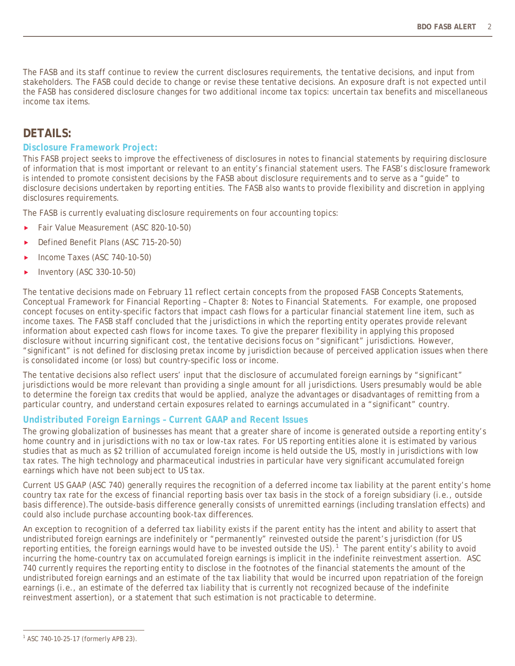The FASB and its staff continue to review the current disclosures requirements, the tentative decisions, and input from stakeholders. The FASB could decide to change or revise these tentative decisions. An exposure draft is not expected until the FASB has considered disclosure changes for two additional income tax topics: uncertain tax benefits and miscellaneous income tax items.

# **DETAILS:**

## *Disclosure Framework Project:*

This FASB project seeks to improve the effectiveness of disclosures in notes to financial statements by requiring disclosure of information that is most important or relevant to an entity's financial statement users. The FASB's disclosure framework is intended to promote consistent decisions by the FASB about disclosure requirements and to serve as a "guide" to disclosure decisions undertaken by reporting entities. The FASB also wants to provide flexibility and discretion in applying disclosures requirements.

The FASB is currently evaluating disclosure requirements on four accounting topics:

- ▶ Fair Value Measurement (ASC 820-10-50)
- ▶ Defined Benefit Plans (ASC 715-20-50)
- ▶ Income Taxes (ASC 740-10-50)
- $\blacktriangleright$  Inventory (ASC 330-10-50)

The tentative decisions made on February 11 reflect certain concepts from the proposed FASB Concepts Statements, *Conceptual Framework for Financial Reporting – Chapter 8: Notes to Financial Statements*. For example, one proposed concept focuses on entity-specific factors that impact cash flows for a particular financial statement line item, such as income taxes. The FASB staff concluded that the jurisdictions in which the reporting entity operates provide relevant information about expected cash flows for income taxes. To give the preparer flexibility in applying this proposed disclosure without incurring significant cost, the tentative decisions focus on "significant" jurisdictions. However, "significant" is not defined for disclosing pretax income by jurisdiction because of perceived application issues when there is consolidated income (or loss) but country-specific loss or income.

The tentative decisions also reflect users' input that the disclosure of accumulated foreign earnings by "significant" jurisdictions would be more relevant than providing a single amount for all jurisdictions. Users presumably would be able to determine the foreign tax credits that would be applied, analyze the advantages or disadvantages of remitting from a particular country, and understand certain exposures related to earnings accumulated in a "significant" country.

## *Undistributed Foreign Earnings – Current GAAP and Recent Issues*

The growing globalization of businesses has meant that a greater share of income is generated outside a reporting entity's home country and in jurisdictions with no tax or low-tax rates. For US reporting entities alone it is estimated by various studies that as much as \$2 trillion of accumulated foreign income is held outside the US, mostly in jurisdictions with low tax rates. The high technology and pharmaceutical industries in particular have very significant accumulated foreign earnings which have not been subject to US tax.

Current US GAAP (ASC 740) generally requires the recognition of a deferred income tax liability at the parent entity's home country tax rate for the excess of financial reporting basis over tax basis in the stock of a foreign subsidiary (i.e., outside basis difference).The outside-basis difference generally consists of unremitted earnings (including translation effects) and could also include purchase accounting book-tax differences.

An exception to recognition of a deferred tax liability exists if the parent entity has the intent and ability to assert that undistributed foreign earnings are indefinitely or "permanently" reinvested outside the parent's jurisdiction (for US reporting entities, the foreign earnings would have to be invested outside the US).<sup>[1](#page-1-0)</sup> The parent entity's ability to avoid incurring the home-country tax on accumulated foreign earnings is implicit in the indefinite reinvestment assertion. ASC 740 currently requires the reporting entity to disclose in the footnotes of the financial statements the amount of the undistributed foreign earnings and an estimate of the tax liability that would be incurred upon repatriation of the foreign earnings (i.e., an estimate of the deferred tax liability that is currently not recognized because of the indefinite reinvestment assertion), or a statement that such estimation is not practicable to determine.

<span id="page-1-0"></span> $\overline{a}$ <sup>1</sup> ASC 740-10-25-17 (formerly APB 23).